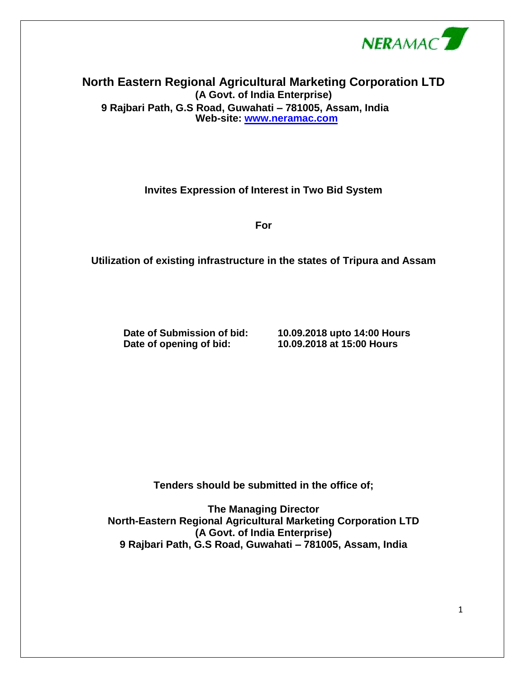

## **North Eastern Regional Agricultural Marketing Corporation LTD (A Govt. of India Enterprise) 9 Rajbari Path, G.S Road, Guwahati – 781005, Assam, India Web-site: [www.neramac.com](http://www.neramac.co/)**

**Invites Expression of Interest in Two Bid System**

**For**

**Utilization of existing infrastructure in the states of Tripura and Assam**

**Date of opening of bid: 10.09.2018 at 15:00 Hours**

**Date of Submission of bid: 10.09.2018 upto 14:00 Hours**

**Tenders should be submitted in the office of;**

**The Managing Director North-Eastern Regional Agricultural Marketing Corporation LTD (A Govt. of India Enterprise) 9 Rajbari Path, G.S Road, Guwahati – 781005, Assam, India**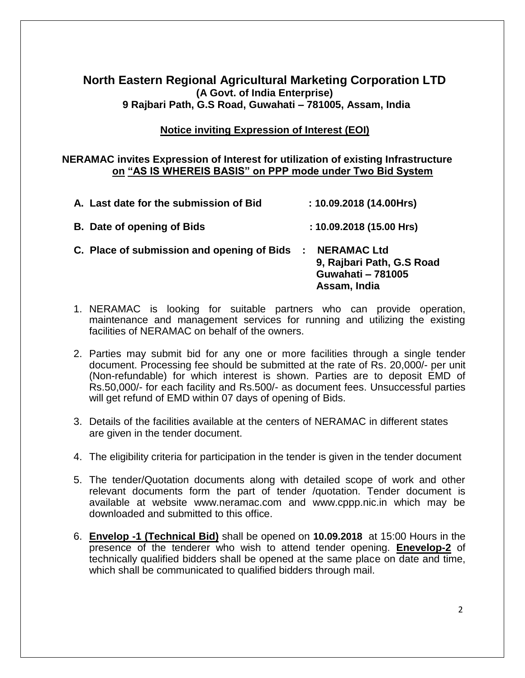# **North Eastern Regional Agricultural Marketing Corporation LTD (A Govt. of India Enterprise) 9 Rajbari Path, G.S Road, Guwahati – 781005, Assam, India**

### **Notice inviting Expression of Interest (EOI)**

#### **NERAMAC invites Expression of Interest for utilization of existing Infrastructure on "AS IS WHEREIS BASIS" on PPP mode under Two Bid System**

| A. Last date for the submission of Bid     | : 10.09.2018(14.00Hrs)                                         |                           |
|--------------------------------------------|----------------------------------------------------------------|---------------------------|
| <b>B.</b> Date of opening of Bids          | : 10.09.2018(15.00 Hrs)                                        |                           |
| C. Place of submission and opening of Bids | <b>NERAMAC Ltd</b><br><b>Guwahati - 781005</b><br>Assam, India | 9, Rajbari Path, G.S Road |

- 1. NERAMAC is looking for suitable partners who can provide operation, maintenance and management services for running and utilizing the existing facilities of NERAMAC on behalf of the owners.
- 2. Parties may submit bid for any one or more facilities through a single tender document. Processing fee should be submitted at the rate of Rs. 20,000/- per unit (Non-refundable) for which interest is shown. Parties are to deposit EMD of Rs.50,000/- for each facility and Rs.500/- as document fees. Unsuccessful parties will get refund of EMD within 07 days of opening of Bids.
- 3. Details of the facilities available at the centers of NERAMAC in different states are given in the tender document.
- 4. The eligibility criteria for participation in the tender is given in the tender document
- 5. The tender/Quotation documents along with detailed scope of work and other relevant documents form the part of tender /quotation. Tender document is available at website www.neramac.com and www.cppp.nic.in which may be downloaded and submitted to this office.
- 6. **Envelop -1 (Technical Bid)** shall be opened on **10.09.2018** at 15:00 Hours in the presence of the tenderer who wish to attend tender opening. **Enevelop-2** of technically qualified bidders shall be opened at the same place on date and time, which shall be communicated to qualified bidders through mail.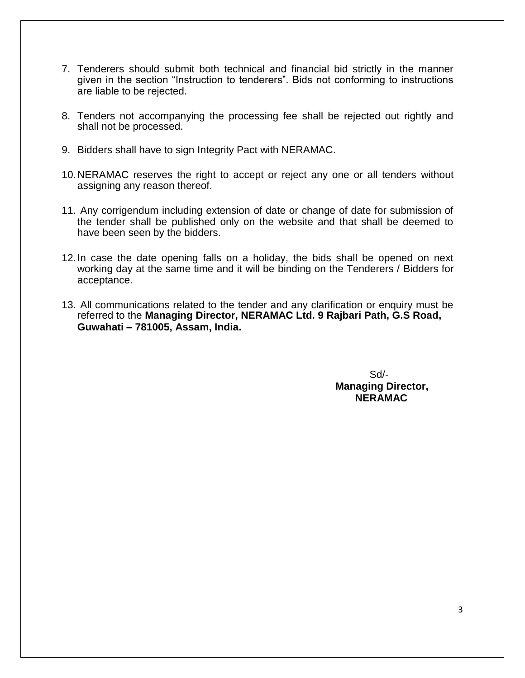- 7. Tenderers should submit both technical and financial bid strictly in the manner given in the section "Instruction to tenderers". Bids not conforming to instructions are liable to be rejected.
- 8. Tenders not accompanying the processing fee shall be rejected out rightly and shall not be processed.
- 9. Bidders shall have to sign Integrity Pact with NERAMAC.
- 10.NERAMAC reserves the right to accept or reject any one or all tenders without assigning any reason thereof.
- 11. Any corrigendum including extension of date or change of date for submission of the tender shall be published only on the website and that shall be deemed to have been seen by the bidders.
- 12.In case the date opening falls on a holiday, the bids shall be opened on next working day at the same time and it will be binding on the Tenderers / Bidders for acceptance.
- 13. All communications related to the tender and any clarification or enquiry must be referred to the **Managing Director, NERAMAC Ltd. 9 Rajbari Path, G.S Road, Guwahati – 781005, Assam, India.**

Sd/- **Managing Director, NERAMAC**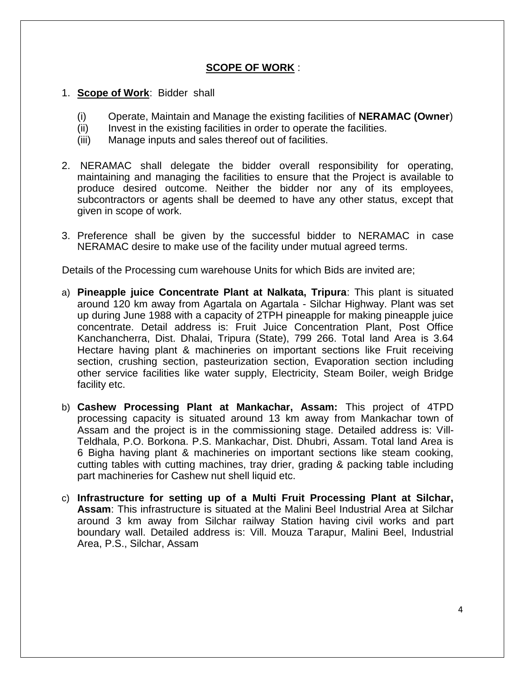### **SCOPE OF WORK** :

#### 1. **Scope of Work**: Bidder shall

- (i) Operate, Maintain and Manage the existing facilities of **NERAMAC (Owner**)
- (ii) Invest in the existing facilities in order to operate the facilities.
- (iii) Manage inputs and sales thereof out of facilities.
- 2. NERAMAC shall delegate the bidder overall responsibility for operating, maintaining and managing the facilities to ensure that the Project is available to produce desired outcome. Neither the bidder nor any of its employees, subcontractors or agents shall be deemed to have any other status, except that given in scope of work.
- 3. Preference shall be given by the successful bidder to NERAMAC in case NERAMAC desire to make use of the facility under mutual agreed terms.

Details of the Processing cum warehouse Units for which Bids are invited are;

- a) **Pineapple juice Concentrate Plant at Nalkata, Tripura**: This plant is situated around 120 km away from Agartala on Agartala - Silchar Highway. Plant was set up during June 1988 with a capacity of 2TPH pineapple for making pineapple juice concentrate. Detail address is: Fruit Juice Concentration Plant, Post Office Kanchancherra, Dist. Dhalai, Tripura (State), 799 266. Total land Area is 3.64 Hectare having plant & machineries on important sections like Fruit receiving section, crushing section, pasteurization section, Evaporation section including other service facilities like water supply, Electricity, Steam Boiler, weigh Bridge facility etc.
- b) **Cashew Processing Plant at Mankachar, Assam:** This project of 4TPD processing capacity is situated around 13 km away from Mankachar town of Assam and the project is in the commissioning stage. Detailed address is: Vill-Teldhala, P.O. Borkona. P.S. Mankachar, Dist. Dhubri, Assam. Total land Area is 6 Bigha having plant & machineries on important sections like steam cooking, cutting tables with cutting machines, tray drier, grading & packing table including part machineries for Cashew nut shell liquid etc.
- c) **Infrastructure for setting up of a Multi Fruit Processing Plant at Silchar, Assam**: This infrastructure is situated at the Malini Beel Industrial Area at Silchar around 3 km away from Silchar railway Station having civil works and part boundary wall. Detailed address is: Vill. Mouza Tarapur, Malini Beel, Industrial Area, P.S., Silchar, Assam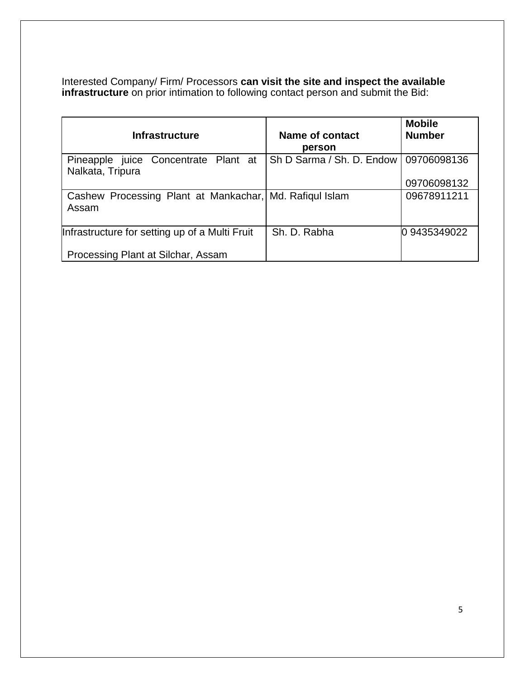Interested Company/ Firm/ Processors **can visit the site and inspect the available infrastructure** on prior intimation to following contact person and submit the Bid:

| <b>Infrastructure</b>                                            | <b>Name of contact</b><br>person | <b>Mobile</b><br><b>Number</b> |
|------------------------------------------------------------------|----------------------------------|--------------------------------|
| juice Concentrate Plant at<br>Pineapple<br>Nalkata, Tripura      | Sh D Sarma / Sh. D. Endow        | 09706098136<br>09706098132     |
| Cashew Processing Plant at Mankachar, Md. Rafiqul Islam<br>Assam |                                  | 09678911211                    |
| Infrastructure for setting up of a Multi Fruit                   | Sh. D. Rabha                     | 09435349022                    |
| Processing Plant at Silchar, Assam                               |                                  |                                |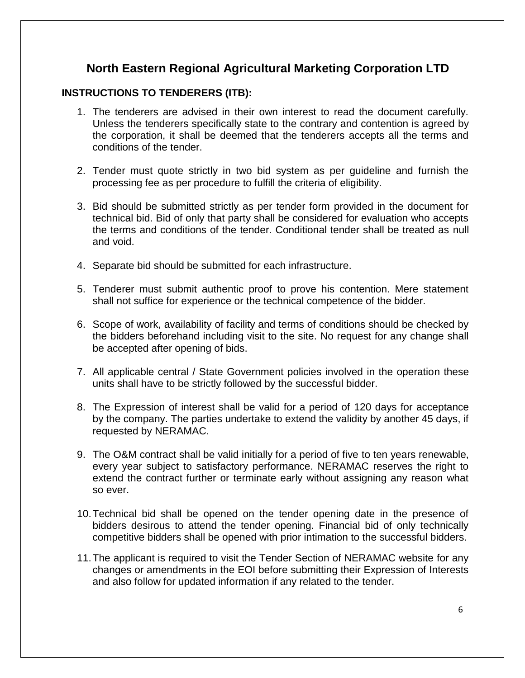# **North Eastern Regional Agricultural Marketing Corporation LTD**

## **INSTRUCTIONS TO TENDERERS (ITB):**

- 1. The tenderers are advised in their own interest to read the document carefully. Unless the tenderers specifically state to the contrary and contention is agreed by the corporation, it shall be deemed that the tenderers accepts all the terms and conditions of the tender.
- 2. Tender must quote strictly in two bid system as per guideline and furnish the processing fee as per procedure to fulfill the criteria of eligibility.
- 3. Bid should be submitted strictly as per tender form provided in the document for technical bid. Bid of only that party shall be considered for evaluation who accepts the terms and conditions of the tender. Conditional tender shall be treated as null and void.
- 4. Separate bid should be submitted for each infrastructure.
- 5. Tenderer must submit authentic proof to prove his contention. Mere statement shall not suffice for experience or the technical competence of the bidder.
- 6. Scope of work, availability of facility and terms of conditions should be checked by the bidders beforehand including visit to the site. No request for any change shall be accepted after opening of bids.
- 7. All applicable central / State Government policies involved in the operation these units shall have to be strictly followed by the successful bidder.
- 8. The Expression of interest shall be valid for a period of 120 days for acceptance by the company. The parties undertake to extend the validity by another 45 days, if requested by NERAMAC.
- 9. The O&M contract shall be valid initially for a period of five to ten years renewable, every year subject to satisfactory performance. NERAMAC reserves the right to extend the contract further or terminate early without assigning any reason what so ever.
- 10.Technical bid shall be opened on the tender opening date in the presence of bidders desirous to attend the tender opening. Financial bid of only technically competitive bidders shall be opened with prior intimation to the successful bidders.
- 11.The applicant is required to visit the Tender Section of NERAMAC website for any changes or amendments in the EOI before submitting their Expression of Interests and also follow for updated information if any related to the tender.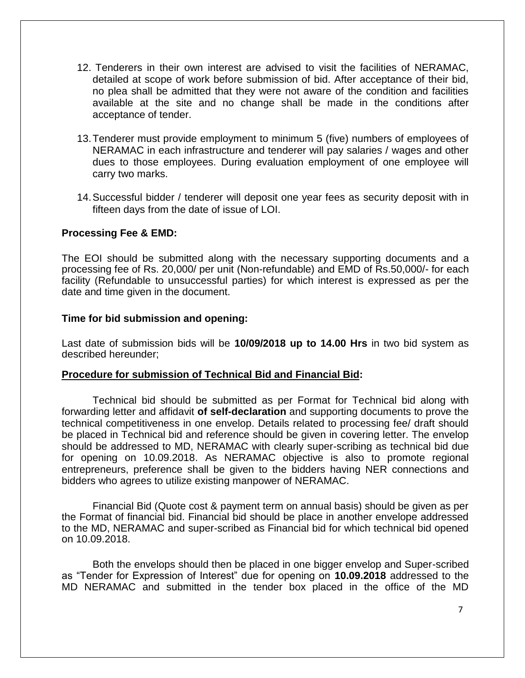- 12. Tenderers in their own interest are advised to visit the facilities of NERAMAC, detailed at scope of work before submission of bid. After acceptance of their bid, no plea shall be admitted that they were not aware of the condition and facilities available at the site and no change shall be made in the conditions after acceptance of tender.
- 13.Tenderer must provide employment to minimum 5 (five) numbers of employees of NERAMAC in each infrastructure and tenderer will pay salaries / wages and other dues to those employees. During evaluation employment of one employee will carry two marks.
- 14.Successful bidder / tenderer will deposit one year fees as security deposit with in fifteen days from the date of issue of LOI.

#### **Processing Fee & EMD:**

The EOI should be submitted along with the necessary supporting documents and a processing fee of Rs. 20,000/ per unit (Non-refundable) and EMD of Rs.50,000/- for each facility (Refundable to unsuccessful parties) for which interest is expressed as per the date and time given in the document.

#### **Time for bid submission and opening:**

Last date of submission bids will be **10/09/2018 up to 14.00 Hrs** in two bid system as described hereunder;

#### **Procedure for submission of Technical Bid and Financial Bid:**

Technical bid should be submitted as per Format for Technical bid along with forwarding letter and affidavit **of self-declaration** and supporting documents to prove the technical competitiveness in one envelop. Details related to processing fee/ draft should be placed in Technical bid and reference should be given in covering letter. The envelop should be addressed to MD, NERAMAC with clearly super-scribing as technical bid due for opening on 10.09.2018. As NERAMAC objective is also to promote regional entrepreneurs, preference shall be given to the bidders having NER connections and bidders who agrees to utilize existing manpower of NERAMAC.

Financial Bid (Quote cost & payment term on annual basis) should be given as per the Format of financial bid. Financial bid should be place in another envelope addressed to the MD, NERAMAC and super-scribed as Financial bid for which technical bid opened on 10.09.2018.

Both the envelops should then be placed in one bigger envelop and Super-scribed as "Tender for Expression of Interest" due for opening on **10.09.2018** addressed to the MD NERAMAC and submitted in the tender box placed in the office of the MD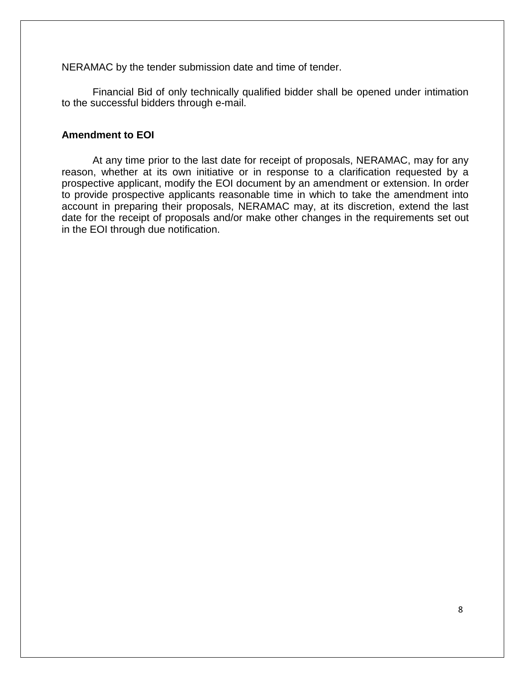NERAMAC by the tender submission date and time of tender.

Financial Bid of only technically qualified bidder shall be opened under intimation to the successful bidders through e-mail.

#### **Amendment to EOI**

At any time prior to the last date for receipt of proposals, NERAMAC, may for any reason, whether at its own initiative or in response to a clarification requested by a prospective applicant, modify the EOI document by an amendment or extension. In order to provide prospective applicants reasonable time in which to take the amendment into account in preparing their proposals, NERAMAC may, at its discretion, extend the last date for the receipt of proposals and/or make other changes in the requirements set out in the EOI through due notification.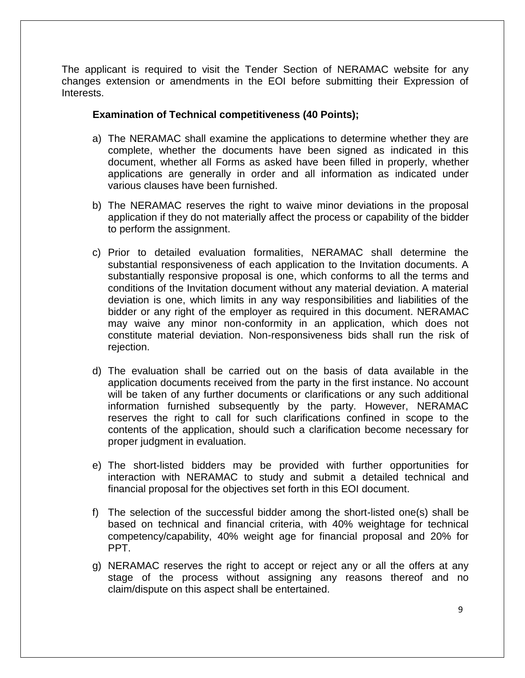The applicant is required to visit the Tender Section of NERAMAC website for any changes extension or amendments in the EOI before submitting their Expression of Interests.

#### **Examination of Technical competitiveness (40 Points);**

- a) The NERAMAC shall examine the applications to determine whether they are complete, whether the documents have been signed as indicated in this document, whether all Forms as asked have been filled in properly, whether applications are generally in order and all information as indicated under various clauses have been furnished.
- b) The NERAMAC reserves the right to waive minor deviations in the proposal application if they do not materially affect the process or capability of the bidder to perform the assignment.
- c) Prior to detailed evaluation formalities, NERAMAC shall determine the substantial responsiveness of each application to the Invitation documents. A substantially responsive proposal is one, which conforms to all the terms and conditions of the Invitation document without any material deviation. A material deviation is one, which limits in any way responsibilities and liabilities of the bidder or any right of the employer as required in this document. NERAMAC may waive any minor non-conformity in an application, which does not constitute material deviation. Non-responsiveness bids shall run the risk of rejection.
- d) The evaluation shall be carried out on the basis of data available in the application documents received from the party in the first instance. No account will be taken of any further documents or clarifications or any such additional information furnished subsequently by the party. However, NERAMAC reserves the right to call for such clarifications confined in scope to the contents of the application, should such a clarification become necessary for proper judgment in evaluation.
- e) The short-listed bidders may be provided with further opportunities for interaction with NERAMAC to study and submit a detailed technical and financial proposal for the objectives set forth in this EOI document.
- f) The selection of the successful bidder among the short-listed one(s) shall be based on technical and financial criteria, with 40% weightage for technical competency/capability, 40% weight age for financial proposal and 20% for PPT.
- g) NERAMAC reserves the right to accept or reject any or all the offers at any stage of the process without assigning any reasons thereof and no claim/dispute on this aspect shall be entertained.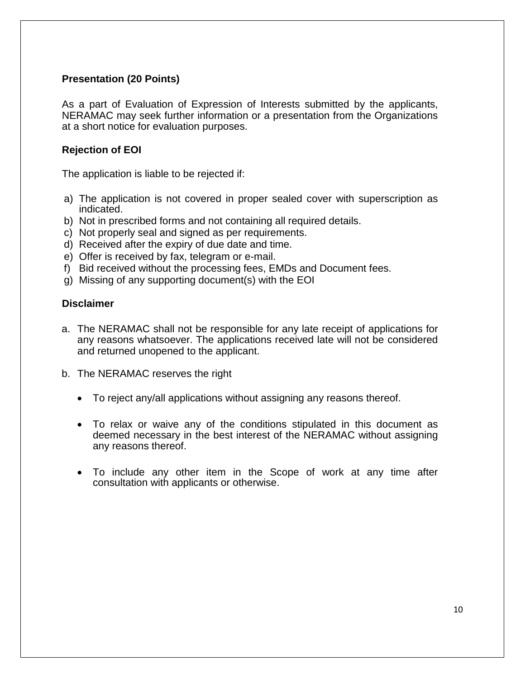## **Presentation (20 Points)**

As a part of Evaluation of Expression of Interests submitted by the applicants, NERAMAC may seek further information or a presentation from the Organizations at a short notice for evaluation purposes.

## **Rejection of EOI**

The application is liable to be rejected if:

- a) The application is not covered in proper sealed cover with superscription as indicated.
- b) Not in prescribed forms and not containing all required details.
- c) Not properly seal and signed as per requirements.
- d) Received after the expiry of due date and time.
- e) Offer is received by fax, telegram or e-mail.
- f) Bid received without the processing fees, EMDs and Document fees.
- g) Missing of any supporting document(s) with the EOI

### **Disclaimer**

- a. The NERAMAC shall not be responsible for any late receipt of applications for any reasons whatsoever. The applications received late will not be considered and returned unopened to the applicant.
- b. The NERAMAC reserves the right
	- To reject any/all applications without assigning any reasons thereof.
	- To relax or waive any of the conditions stipulated in this document as deemed necessary in the best interest of the NERAMAC without assigning any reasons thereof.
	- To include any other item in the Scope of work at any time after consultation with applicants or otherwise.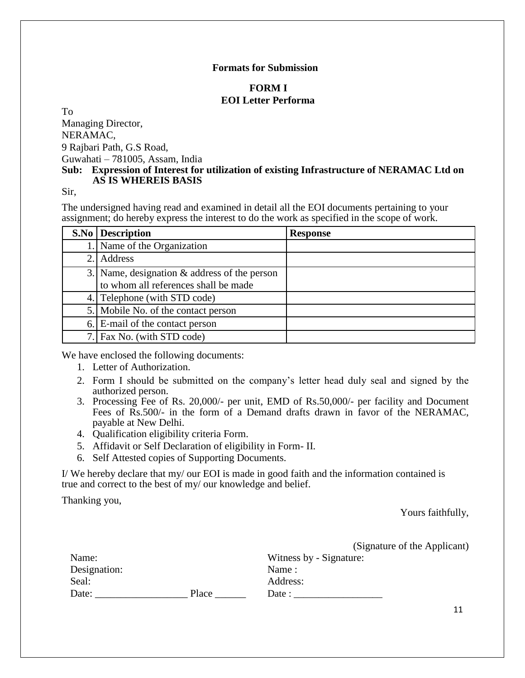#### **Formats for Submission**

#### **FORM I EOI Letter Performa**

To

Managing Director, NERAMAC, 9 Rajbari Path, G.S Road, Guwahati – 781005, Assam, India

#### **Sub: Expression of Interest for utilization of existing Infrastructure of NERAMAC Ltd on AS IS WHEREIS BASIS**

Sir,

The undersigned having read and examined in detail all the EOI documents pertaining to your assignment; do hereby express the interest to do the work as specified in the scope of work.

| <b>S.No</b> Description                                                                 | <b>Response</b> |
|-----------------------------------------------------------------------------------------|-----------------|
| Name of the Organization                                                                |                 |
| 2. Address                                                                              |                 |
| 3. Name, designation $\&$ address of the person<br>to whom all references shall be made |                 |
| 4. Telephone (with STD code)                                                            |                 |
| 5. Mobile No. of the contact person                                                     |                 |
| 6. E-mail of the contact person                                                         |                 |
| 7. Fax No. (with STD code)                                                              |                 |

We have enclosed the following documents:

- 1. Letter of Authorization.
- 2. Form I should be submitted on the company's letter head duly seal and signed by the authorized person.
- 3. Processing Fee of Rs. 20,000/- per unit, EMD of Rs.50,000/- per facility and Document Fees of Rs.500/- in the form of a Demand drafts drawn in favor of the NERAMAC, payable at New Delhi.
- 4. Qualification eligibility criteria Form.
- 5. Affidavit or Self Declaration of eligibility in Form- II.
- 6. Self Attested copies of Supporting Documents.

I/ We hereby declare that my/ our EOI is made in good faith and the information contained is true and correct to the best of my/ our knowledge and belief.

Thanking you,

Yours faithfully,

|              |       | (Signature of the Applicant) |
|--------------|-------|------------------------------|
| Name:        |       | Witness by - Signature:      |
| Designation: |       | Name:                        |
| Seal:        |       | Address:                     |
| Date:        | Place | Date :                       |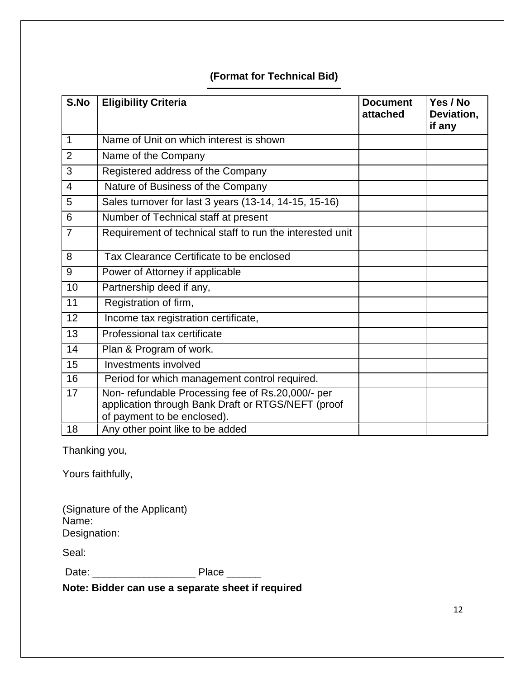# **(Format for Technical Bid)**

| S.No            | <b>Eligibility Criteria</b>                                                                                                           | <b>Document</b><br>attached | Yes / No<br>Deviation,<br>if any |
|-----------------|---------------------------------------------------------------------------------------------------------------------------------------|-----------------------------|----------------------------------|
| 1               | Name of Unit on which interest is shown                                                                                               |                             |                                  |
| $\overline{2}$  | Name of the Company                                                                                                                   |                             |                                  |
| 3               | Registered address of the Company                                                                                                     |                             |                                  |
| $\overline{4}$  | Nature of Business of the Company                                                                                                     |                             |                                  |
| 5               | Sales turnover for last 3 years (13-14, 14-15, 15-16)                                                                                 |                             |                                  |
| 6               | Number of Technical staff at present                                                                                                  |                             |                                  |
| $\overline{7}$  | Requirement of technical staff to run the interested unit                                                                             |                             |                                  |
| 8               | Tax Clearance Certificate to be enclosed                                                                                              |                             |                                  |
| 9               | Power of Attorney if applicable                                                                                                       |                             |                                  |
| 10              | Partnership deed if any,                                                                                                              |                             |                                  |
| 11              | Registration of firm,                                                                                                                 |                             |                                  |
| 12              | Income tax registration certificate,                                                                                                  |                             |                                  |
| 13              | Professional tax certificate                                                                                                          |                             |                                  |
| $\overline{14}$ | Plan & Program of work.                                                                                                               |                             |                                  |
| 15              | Investments involved                                                                                                                  |                             |                                  |
| 16              | Period for which management control required.                                                                                         |                             |                                  |
| 17              | Non-refundable Processing fee of Rs.20,000/- per<br>application through Bank Draft or RTGS/NEFT (proof<br>of payment to be enclosed). |                             |                                  |
| 18              | Any other point like to be added                                                                                                      |                             |                                  |

Thanking you,

Yours faithfully,

| (Signature of the Applicant) |  |
|------------------------------|--|
| Name:                        |  |
| Designation:                 |  |

Seal:

Date: \_\_\_\_\_\_\_\_\_\_\_\_\_\_\_\_\_\_ Place \_\_\_\_\_\_

**Note: Bidder can use a separate sheet if required**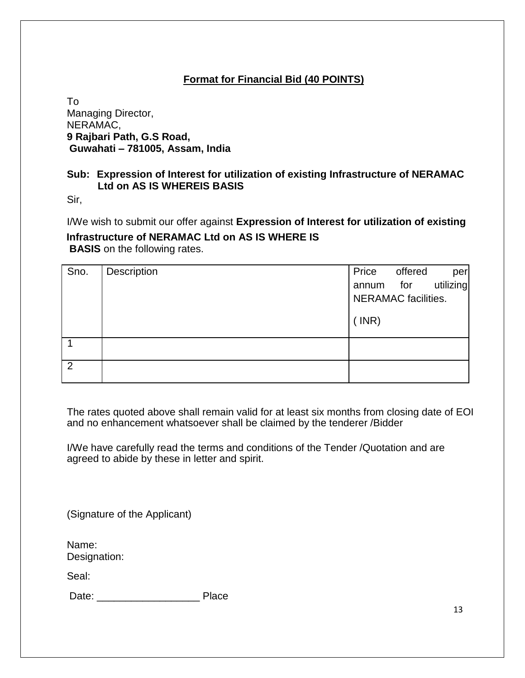# **Format for Financial Bid (40 POINTS)**

To Managing Director, NERAMAC, **9 Rajbari Path, G.S Road, Guwahati – 781005, Assam, India**

## **Sub: Expression of Interest for utilization of existing Infrastructure of NERAMAC Ltd on AS IS WHEREIS BASIS**

Sir,

I/We wish to submit our offer against **Expression of Interest for utilization of existing**

**Infrastructure of NERAMAC Ltd on AS IS WHERE IS BASIS** on the following rates.

| Sno.           | Description | Price                      | offered | per       |
|----------------|-------------|----------------------------|---------|-----------|
|                |             | annum for                  |         | utilizing |
|                |             | <b>NERAMAC</b> facilities. |         |           |
|                |             | $($ INR)                   |         |           |
|                |             |                            |         |           |
| $\overline{2}$ |             |                            |         |           |

The rates quoted above shall remain valid for at least six months from closing date of EOI and no enhancement whatsoever shall be claimed by the tenderer /Bidder

I/We have carefully read the terms and conditions of the Tender /Quotation and are agreed to abide by these in letter and spirit.

(Signature of the Applicant)

Name: Designation:

Seal:

Date: \_\_\_\_\_\_\_\_\_\_\_\_\_\_\_\_\_\_ Place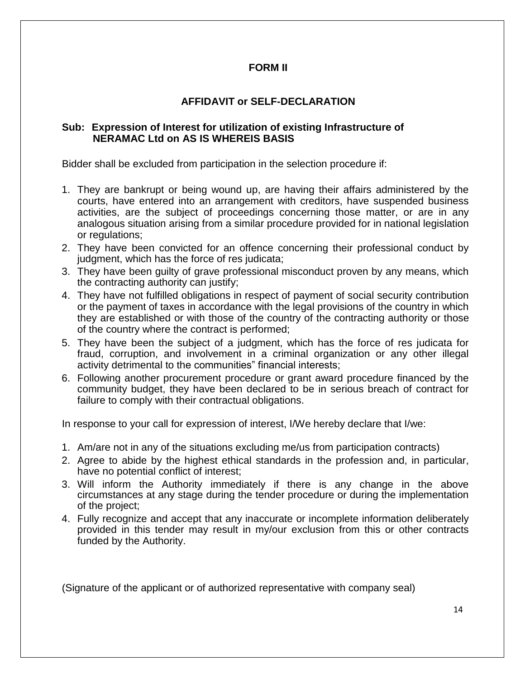### **FORM II**

## **AFFIDAVIT or SELF-DECLARATION**

#### **Sub: Expression of Interest for utilization of existing Infrastructure of NERAMAC Ltd on AS IS WHEREIS BASIS**

Bidder shall be excluded from participation in the selection procedure if:

- 1. They are bankrupt or being wound up, are having their affairs administered by the courts, have entered into an arrangement with creditors, have suspended business activities, are the subject of proceedings concerning those matter, or are in any analogous situation arising from a similar procedure provided for in national legislation or regulations;
- 2. They have been convicted for an offence concerning their professional conduct by judgment, which has the force of res judicata;
- 3. They have been guilty of grave professional misconduct proven by any means, which the contracting authority can justify;
- 4. They have not fulfilled obligations in respect of payment of social security contribution or the payment of taxes in accordance with the legal provisions of the country in which they are established or with those of the country of the contracting authority or those of the country where the contract is performed;
- 5. They have been the subject of a judgment, which has the force of res judicata for fraud, corruption, and involvement in a criminal organization or any other illegal activity detrimental to the communities" financial interests;
- 6. Following another procurement procedure or grant award procedure financed by the community budget, they have been declared to be in serious breach of contract for failure to comply with their contractual obligations.

In response to your call for expression of interest, I/We hereby declare that I/we:

- 1. Am/are not in any of the situations excluding me/us from participation contracts)
- 2. Agree to abide by the highest ethical standards in the profession and, in particular, have no potential conflict of interest;
- 3. Will inform the Authority immediately if there is any change in the above circumstances at any stage during the tender procedure or during the implementation of the project;
- 4. Fully recognize and accept that any inaccurate or incomplete information deliberately provided in this tender may result in my/our exclusion from this or other contracts funded by the Authority.

(Signature of the applicant or of authorized representative with company seal)